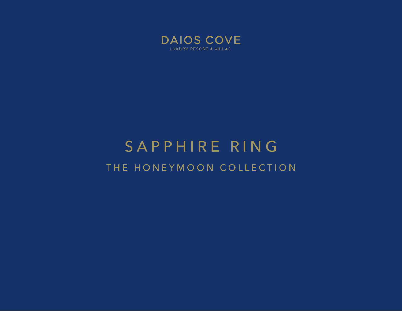

# SAPPHIRE RING THE HONEYMOON COLLECTION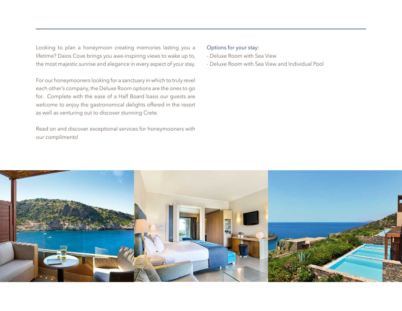Looking to plan a honeymoon creating memories lasting you a lifetime? Daios Cove brings you awe-inspiring views to wake up to, the most majestic sunrise and elegance in every aspect of your stay.

For our honeymooners looking for a sanctuary in which to truly revel each other's company, the Deluxe Room options are the ones to go for. Complete with the ease of a Half Board basis our guests are welcome to enjoy the gastronomical delights offered in the resort as well as venturing out to discover stunning Crete.

Read on and discover exceptional services for honeymooners with our compliments!

### Options for your stay:

- Deluxe Room with Sea View
- Deluxe Room with Sea View and Individual Pool

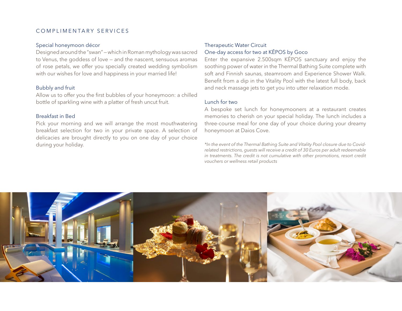## COMPLIMENTARY SERVICES

#### Special honeymoon décor

Designed around the "swan" — which in Roman mythology was sacred to Venus, the goddess of love — and the nascent, sensuous aromas of rose petals, we offer you specially created wedding symbolism with our wishes for love and happiness in your married life!

#### Bubbly and fruit

Allow us to offer you the first bubbles of your honeymoon: a chilled bottle of sparkling wine with a platter of fresh uncut fruit.

#### Breakfast in Bed

Pick your morning and we will arrange the most mouthwatering breakfast selection for two in your private space. A selection of delicacies are brought directly to you on one day of your choice during your holiday.

# Therapeutic Water Circuit One-day access for two at KĒPOS by Goco

Enter the expansive 2.500sqm KĒPOS sanctuary and enjoy the soothing power of water in the Thermal Bathing Suite complete with soft and Finnish saunas, steamroom and Experience Shower Walk. Benefit from a dip in the Vitality Pool with the latest full body, back and neck massage jets to get you into utter relaxation mode.

#### Lunch for two

A bespoke set lunch for honeymooners at a restaurant creates memories to cherish on your special holiday. The lunch includes a three-course meal for one day of your choice during your dreamy honeymoon at Daios Cove.

*\*In the event of the Thermal Bathing Suite and Vitality Pool closure due to Covidrelated restrictions, guests will receive a credit of 30 Euros per adult redeemable in treatments. The credit is not cumulative with other promotions, resort credit vouchers or wellness retail products*